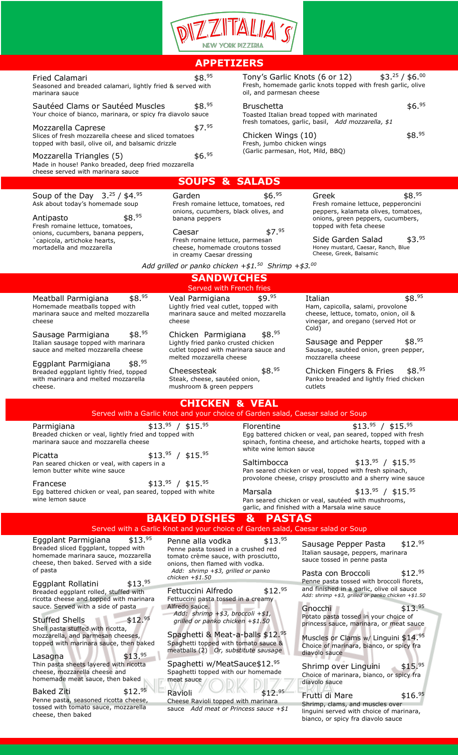

## **APPETIZERS**

| Fried Calamari                                             | \$8.95 |
|------------------------------------------------------------|--------|
| Seasoned and breaded calamari, lightly fried & served with |        |

marinara sauce

Sautéed Clams or Sautéed Muscles \$8.95 Your choice of bianco, marinara, or spicy fra diavolo sauce

Mozzarella Caprese \$7.95 Slices of fresh mozzarella cheese and sliced tomatoes topped with basil, olive oil, and balsamic drizzle

Mozzarella Triangles  $(5)$  \$6.95 Made in house! Panko breaded, deep fried mozzarella cheese served with marinara sauce

Tony's Garlic Knots (6 or 12)  $$3.^{25}$  / \$6.00 Fresh, homemade garlic knots topped with fresh garlic, olive oil, and parmesan cheese

## Bruschetta **\$6.**95

Toasted Italian bread topped with marinated fresh tomatoes, garlic, basil, *Add mozzarella, \$1*

Chicken Wings  $(10)$  \$8.95 Fresh, jumbo chicken wings (Garlic parmesan, Hot, Mild, BBQ)

Soup of the Day  $3.^{25}$  / \$4.95 Ask about today's homemade soup

Antipasto \$8.95 Fresh romaine lettuce, tomatoes, onions, cucumbers, banana peppers, `capicola, artichoke hearts, mortadella and mozzarella

| Garden                                                                                         | \$6. <sup>95</sup> |
|------------------------------------------------------------------------------------------------|--------------------|
| Fresh romaine lettuce, tomatoes, red<br>onions, cucumbers, black olives, and<br>banana peppers |                    |
| Caesar                                                                                         | , 95               |

**SOUPS & SALADS**

Fresh romaine lettuce, parmesan cheese, homemade croutons tossed in creamy Caesar dressing

Greek  $$8.95$ Fresh romaine lettuce, pepperoncini peppers, kalamata olives, tomatoes, onions, green peppers, cucumbers, topped with feta cheese

Side Garden Salad \$3.95 Honey mustard, Caesar, Ranch, Blue Cheese, Greek, Balsamic

*Add grilled or panko chicken +\$1.50 Shrimp +\$3.00*

#### **SANDWICHES** Served with French fries Meatball Parmigiana \$8.95 Homemade meatballs topped with marinara sauce and melted mozzarella Veal Parmigiana \$9.95 Lightly fried veal cutlet, topped with marinara sauce and melted mozzarella

cheese Sausage Parmigiana \$8.95 Italian sausage topped with marinara

sauce and melted mozzarella cheese

Eggplant Parmigiana \$8.95 Breaded eggplant lightly fried, topped with marinara and melted mozzarella cheese.

cheese Chicken Parmigiana \$8.95

Lightly fried panko crusted chicken cutlet topped with marinara sauce and melted mozzarella cheese

Cheesesteak  $$8.^{95}$ Steak, cheese, sautéed onion, mushroom & green peppers

Italian  $$8.95$ Ham, capicolla, salami, provolone cheese, lettuce, tomato, onion, oil & vinegar, and oregano (served Hot or Cold)

Sausage and Pepper  $$8.^{95}$ Sausage, sautéed onion, green pepper, mozzarella cheese

Chicken Fingers & Fries \$8.95 Panko breaded and lightly fried chicken cutlets

| <b>CHICKEN &amp; VEAL</b><br>Served with a Garlic Knot and your choice of Garden salad, Caesar salad or Soup                                                        |                                                                                                                                    |                                                                                                                                                                                                       |                                                                                                                                                                                                 |  |
|---------------------------------------------------------------------------------------------------------------------------------------------------------------------|------------------------------------------------------------------------------------------------------------------------------------|-------------------------------------------------------------------------------------------------------------------------------------------------------------------------------------------------------|-------------------------------------------------------------------------------------------------------------------------------------------------------------------------------------------------|--|
| $$13.^{95} / $15.^{95}$<br>Parmigiana<br>Breaded chicken or yeal, lightly fried and topped with<br>marinara sauce and mozzarella cheese                             |                                                                                                                                    | $$13.^{95} / $15.^{95}$<br><b>Florentine</b><br>Egg battered chicken or veal, pan seared, topped with fresh<br>spinach, fontina cheese, and artichoke hearts, topped with a<br>white wine lemon sauce |                                                                                                                                                                                                 |  |
| Picatta<br>Pan seared chicken or yeal, with capers in a<br>lemon butter white wine sauce                                                                            | $$13.^{95} / $15.^{95}$                                                                                                            | Saltimbocca                                                                                                                                                                                           | $$13.^{95} / $15.^{95}$<br>Pan seared chicken or veal, topped with fresh spinach,<br>provolone cheese, crispy prosciutto and a sherry wine sauce                                                |  |
| $$13.^{95} / $15.^{95}$<br>Francese<br>Egg battered chicken or veal, pan seared, topped with white<br>wine lemon sauce                                              |                                                                                                                                    | Marsala                                                                                                                                                                                               | $$13.^{95} / $15.^{95}$<br>Pan seared chicken or veal, sautéed with mushrooms,<br>garlic, and finished with a Marsala wine sauce                                                                |  |
| <b>BAKED DISHES &amp; PASTAS</b><br>Served with a Garlic Knot and your choice of Garden salad, Caesar salad or Soup                                                 |                                                                                                                                    |                                                                                                                                                                                                       |                                                                                                                                                                                                 |  |
| \$13. <sup>95</sup><br>Eggplant Parmigiana<br>Breaded sliced Eggplant, topped with<br>homemade marinara sauce, mozzarella<br>cheese, then baked. Served with a side | Penne alla vodka<br>Penne pasta tossed in a crushed red<br>tomato crème sauce, with prosciutto,<br>onions, then flamed with vodka. | \$13. <sup>95</sup>                                                                                                                                                                                   | \$12. <sup>95</sup><br>Sausage Pepper Pasta<br>Italian sausage, peppers, marinara<br>sauce tossed in penne pasta                                                                                |  |
| of pasta<br>\$13. <sup>95</sup><br>Eggplant Rollatini<br>Breaded eggplant rolled, stuffed with<br>ricotta cheese and topped with marinara                           | Add: shrimp +\$3, grilled or panko<br>chicken $+ $1.50$<br>Fettuccini Alfredo<br>Fettuccini pasta tossed in a creamy               | \$12. <sup>95</sup>                                                                                                                                                                                   | \$12. <sup>95</sup><br>Pasta con Broccoli<br>Penne pasta tossed with broccoli florets,<br>and finished in a garlic, olive oil sauce<br>Add: shrimp $+$ \$3, grilled or panko chicken $+$ \$1.50 |  |
| sauce. Served with a side of pasta<br>\$12. <sup>95</sup><br><b>Stuffed Shells</b><br>Shell pasta stuffed with ricotta,                                             | Alfredo sauce.<br>Add: shrimp +\$3, broccoli +\$1,<br>grilled or panko chicken $+ $1.50$                                           |                                                                                                                                                                                                       | \$13. <sup>95</sup><br>Gnocchi<br>Potato pasta tossed in your choice of<br>princess sauce, marinara, or meat sauce                                                                              |  |
| mozzarella, and parmesan cheeses,                                                                                                                                   | Spaghetti & Meat-a-balls \$12.95                                                                                                   |                                                                                                                                                                                                       | Muscles or Clams w/ Linquini $$14.95$                                                                                                                                                           |  |

Muscles or Clams w/ Linguini \$14.95 Choice of marinara, bianco, or spicy fra diavolo sauce

Shrimp over Linguini \$15.95 Choice of marinara, bianco, or spicy fra diavolo sauce

### Frutti di Mare  $$16.^{95}$ Shrimp, clams, and muscles over linguini served with choice of marinara, bianco, or spicy fra diavolo sauce

Ravioli \$12.95 Cheese Ravioli topped with marinara sauce *Add meat or Princess sauce +\$1*

topped with marinara sauce, then baked

Lasagna  $$13.<sup>95</sup>$ Thin pasta sheets layered with ricotta cheese, mozzarella cheese and homemade meat sauce, then baked

Baked Ziti \$12.95

Penne pasta, seasoned ricotta cheese, tossed with tomato sauce, mozzarella cheese, then baked

Spaghetti & Meat-a-balls \$12.95 Spaghetti topped with tomato sauce & meatballs (2) *Or, substitute sausage* 

Spaghetti w/MeatSauce\$12.95 Spaghetti topped with our homemade meat sauce